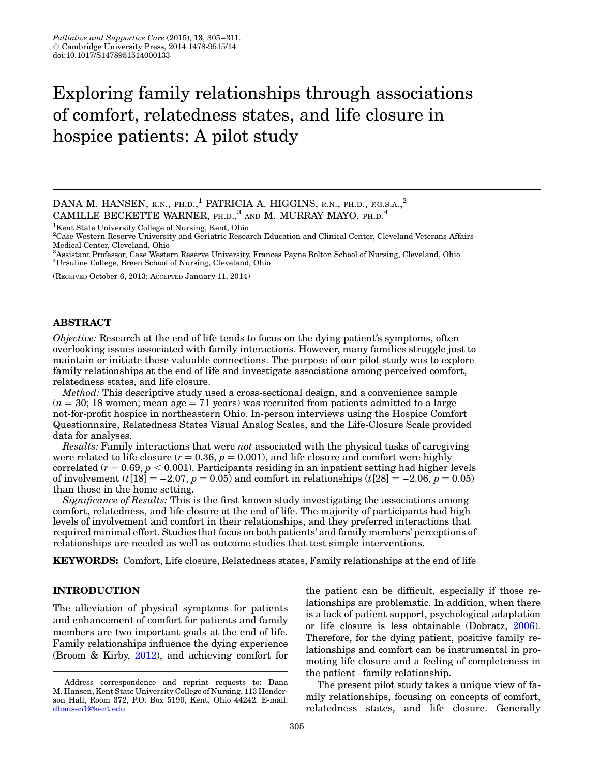# Exploring family relationships through associations of comfort, relatedness states, and life closure in hospice patients: A pilot study

DANA M. HANSEN, R.N., PH.D.,<sup>1</sup> PATRICIA A. HIGGINS, R.N., PH.D., F.G.S.A.,<sup>2</sup> CAMILLE BECKETTE WARNER, PH.D.,<sup>3</sup> AND M. MURRAY MAYO, PH.D.<sup>4</sup>

<sup>1</sup>Kent State University College of Nursing, Kent, Ohio

2 Case Western Reserve University and Geriatric Research Education and Clinical Center, Cleveland Veterans Affairs Medical Center, Cleveland, Ohio

3 Assistant Professor, Case Western Reserve University, Frances Payne Bolton School of Nursing, Cleveland, Ohio 4 Ursuline College, Breen School of Nursing, Cleveland, Ohio

(RECEIVED October 6, 2013; ACCEPTED January 11, 2014)

#### ABSTRACT

Objective: Research at the end of life tends to focus on the dying patient's symptoms, often overlooking issues associated with family interactions. However, many families struggle just to maintain or initiate these valuable connections. The purpose of our pilot study was to explore family relationships at the end of life and investigate associations among perceived comfort, relatedness states, and life closure.

Method: This descriptive study used a cross-sectional design, and a convenience sample  $(n = 30; 18$  women; mean age  $= 71$  years) was recruited from patients admitted to a large not-for-profit hospice in northeastern Ohio. In-person interviews using the Hospice Comfort Questionnaire, Relatedness States Visual Analog Scales, and the Life-Closure Scale provided data for analyses.

Results: Family interactions that were not associated with the physical tasks of caregiving were related to life closure ( $r = 0.36$ ,  $p = 0.001$ ), and life closure and comfort were highly correlated ( $r = 0.69$ ,  $p < 0.001$ ). Participants residing in an inpatient setting had higher levels of involvement (t[18] = -2.07, p = 0.05) and comfort in relationships (t[28] = -2.06, p = 0.05) than those in the home setting.

Significance of Results: This is the first known study investigating the associations among comfort, relatedness, and life closure at the end of life. The majority of participants had high levels of involvement and comfort in their relationships, and they preferred interactions that required minimal effort. Studies that focus on both patients' and family members' perceptions of relationships are needed as well as outcome studies that test simple interventions.

KEYWORDS: Comfort, Life closure, Relatedness states, Family relationships at the end of life

## INTRODUCTION

The alleviation of physical symptoms for patients and enhancement of comfort for patients and family members are two important goals at the end of life. Family relationships influence the dying experience (Broom & Kirby, [2012\)](#page-6-0), and achieving comfort for

the patient can be difficult, especially if those relationships are problematic. In addition, when there is a lack of patient support, psychological adaptation or life closure is less obtainable (Dobratz, [2006\)](#page-6-0). Therefore, for the dying patient, positive family relationships and comfort can be instrumental in promoting life closure and a feeling of completeness in the patient– family relationship.

The present pilot study takes a unique view of family relationships, focusing on concepts of comfort, relatedness states, and life closure. Generally

Address correspondence and reprint requests to: Dana M. Hansen, Kent State University College of Nursing, 113 Henderson Hall, Room 372, P.O. Box 5190, Kent, Ohio 44242. E-mail: [dhansen1@kent.edu](mailto:dhansen1@kent.edu)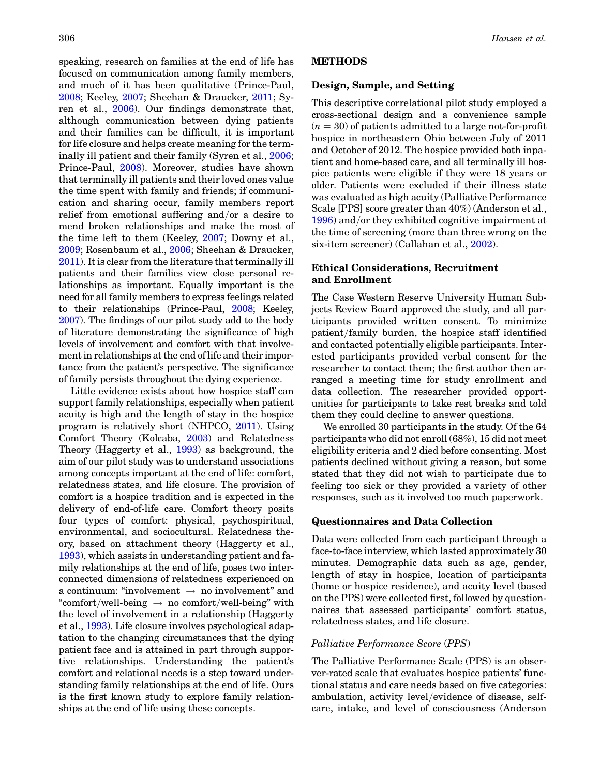speaking, research on families at the end of life has focused on communication among family members, and much of it has been qualitative (Prince-Paul, [2008](#page-6-0); Keeley, [2007;](#page-6-0) Sheehan & Draucker, [2011;](#page-6-0) Syren et al., [2006\)](#page-6-0). Our findings demonstrate that, although communication between dying patients and their families can be difficult, it is important for life closure and helps create meaning for the terminally ill patient and their family (Syren et al., [2006](#page-6-0); Prince-Paul, [2008](#page-6-0)). Moreover, studies have shown that terminally ill patients and their loved ones value the time spent with family and friends; if communication and sharing occur, family members report relief from emotional suffering and/or a desire to mend broken relationships and make the most of the time left to them (Keeley, [2007;](#page-6-0) Downy et al., [2009](#page-6-0); Rosenbaum et al., [2006;](#page-6-0) Sheehan & Draucker, [2011\)](#page-6-0). It is clear from the literature that terminally ill patients and their families view close personal relationships as important. Equally important is the need for all family members to express feelings related to their relationships (Prince-Paul, [2008](#page-6-0); Keeley, [2007\)](#page-6-0). The findings of our pilot study add to the body of literature demonstrating the significance of high levels of involvement and comfort with that involvement in relationships at the end of life and their importance from the patient's perspective. The significance of family persists throughout the dying experience.

Little evidence exists about how hospice staff can support family relationships, especially when patient acuity is high and the length of stay in the hospice program is relatively short (NHPCO, [2011](#page-6-0)). Using Comfort Theory (Kolcaba, [2003](#page-6-0)) and Relatedness Theory (Haggerty et al., [1993\)](#page-6-0) as background, the aim of our pilot study was to understand associations among concepts important at the end of life: comfort, relatedness states, and life closure. The provision of comfort is a hospice tradition and is expected in the delivery of end-of-life care. Comfort theory posits four types of comfort: physical, psychospiritual, environmental, and sociocultural. Relatedness theory, based on attachment theory (Haggerty et al., [1993\)](#page-6-0), which assists in understanding patient and family relationships at the end of life, poses two interconnected dimensions of relatedness experienced on a continuum: "involvement  $\rightarrow$  no involvement" and "comfort/well-being  $\rightarrow$  no comfort/well-being" with the level of involvement in a relationship (Haggerty et al., [1993](#page-6-0)). Life closure involves psychological adaptation to the changing circumstances that the dying patient face and is attained in part through supportive relationships. Understanding the patient's comfort and relational needs is a step toward understanding family relationships at the end of life. Ours is the first known study to explore family relationships at the end of life using these concepts.

## METHODS

## Design, Sample, and Setting

This descriptive correlational pilot study employed a cross-sectional design and a convenience sample  $(n = 30)$  of patients admitted to a large not-for-profit hospice in northeastern Ohio between July of 2011 and October of 2012. The hospice provided both inpatient and home-based care, and all terminally ill hospice patients were eligible if they were 18 years or older. Patients were excluded if their illness state was evaluated as high acuity (Palliative Performance Scale [PPS] score greater than 40%) (Anderson et al., [1996](#page-5-0)) and/or they exhibited cognitive impairment at the time of screening (more than three wrong on the six-item screener) (Callahan et al., [2002\)](#page-6-0).

## Ethical Considerations, Recruitment and Enrollment

The Case Western Reserve University Human Subjects Review Board approved the study, and all participants provided written consent. To minimize patient/family burden, the hospice staff identified and contacted potentially eligible participants. Interested participants provided verbal consent for the researcher to contact them; the first author then arranged a meeting time for study enrollment and data collection. The researcher provided opportunities for participants to take rest breaks and told them they could decline to answer questions.

We enrolled 30 participants in the study. Of the 64 participants who did not enroll (68%), 15 did not meet eligibility criteria and 2 died before consenting. Most patients declined without giving a reason, but some stated that they did not wish to participate due to feeling too sick or they provided a variety of other responses, such as it involved too much paperwork.

## Questionnaires and Data Collection

Data were collected from each participant through a face-to-face interview, which lasted approximately 30 minutes. Demographic data such as age, gender, length of stay in hospice, location of participants (home or hospice residence), and acuity level (based on the PPS) were collected first, followed by questionnaires that assessed participants' comfort status, relatedness states, and life closure.

#### Palliative Performance Score (PPS)

The Palliative Performance Scale (PPS) is an observer-rated scale that evaluates hospice patients' functional status and care needs based on five categories: ambulation, activity level/evidence of disease, selfcare, intake, and level of consciousness (Anderson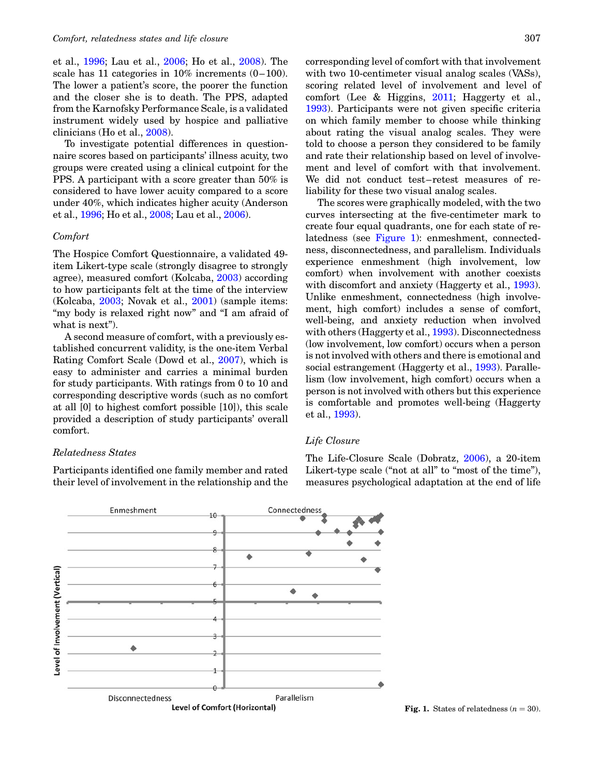<span id="page-2-0"></span>et al., [1996](#page-5-0); Lau et al., [2006](#page-6-0); Ho et al., [2008](#page-6-0)). The scale has 11 categories in  $10\%$  increments  $(0-100)$ . The lower a patient's score, the poorer the function and the closer she is to death. The PPS, adapted from the Karnofsky Performance Scale, is a validated instrument widely used by hospice and palliative clinicians (Ho et al., [2008](#page-6-0)).

To investigate potential differences in questionnaire scores based on participants' illness acuity, two groups were created using a clinical cutpoint for the PPS. A participant with a score greater than 50% is considered to have lower acuity compared to a score under 40%, which indicates higher acuity (Anderson et al., [1996;](#page-5-0) Ho et al., [2008;](#page-6-0) Lau et al., [2006](#page-6-0)).

#### Comfort

The Hospice Comfort Questionnaire, a validated 49 item Likert-type scale (strongly disagree to strongly agree), measured comfort (Kolcaba, [2003](#page-6-0)) according to how participants felt at the time of the interview (Kolcaba, [2003](#page-6-0); Novak et al., [2001\)](#page-6-0) (sample items: "my body is relaxed right now" and "I am afraid of what is next".

A second measure of comfort, with a previously established concurrent validity, is the one-item Verbal Rating Comfort Scale (Dowd et al., [2007\)](#page-6-0), which is easy to administer and carries a minimal burden for study participants. With ratings from 0 to 10 and corresponding descriptive words (such as no comfort at all [0] to highest comfort possible [10]), this scale provided a description of study participants' overall comfort.

#### Relatedness States

Participants identified one family member and rated their level of involvement in the relationship and the corresponding level of comfort with that involvement with two 10-centimeter visual analog scales (VASs), scoring related level of involvement and level of comfort (Lee & Higgins, [2011;](#page-6-0) Haggerty et al., [1993](#page-6-0)). Participants were not given specific criteria on which family member to choose while thinking about rating the visual analog scales. They were told to choose a person they considered to be family and rate their relationship based on level of involvement and level of comfort with that involvement. We did not conduct test–retest measures of reliability for these two visual analog scales.

The scores were graphically modeled, with the two curves intersecting at the five-centimeter mark to create four equal quadrants, one for each state of relatedness (see Figure 1): enmeshment, connectedness, disconnectedness, and parallelism. Individuals experience enmeshment (high involvement, low comfort) when involvement with another coexists with discomfort and anxiety (Haggerty et al., [1993\)](#page-6-0). Unlike enmeshment, connectedness (high involvement, high comfort) includes a sense of comfort, well-being, and anxiety reduction when involved with others (Haggerty et al., [1993\)](#page-6-0). Disconnectedness (low involvement, low comfort) occurs when a person is not involved with others and there is emotional and social estrangement (Haggerty et al., [1993\)](#page-6-0). Parallelism (low involvement, high comfort) occurs when a person is not involved with others but this experience is comfortable and promotes well-being (Haggerty et al., [1993](#page-6-0)).

## Life Closure

The Life-Closure Scale (Dobratz, [2006](#page-6-0)), a 20-item Likert-type scale ("not at all" to "most of the time"), measures psychological adaptation at the end of life



**Fig. 1.** States of relatedness  $(n = 30)$ .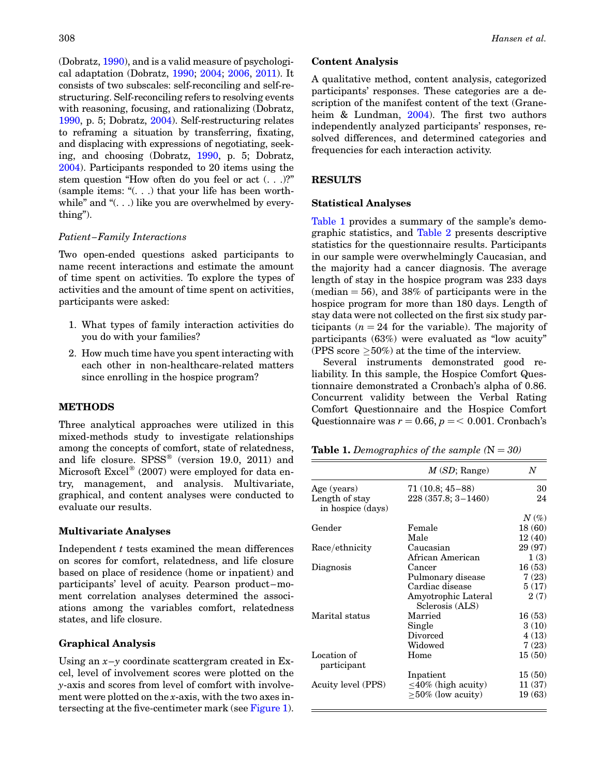(Dobratz, [1990\)](#page-6-0), and is a valid measure of psychological adaptation (Dobratz, [1990](#page-6-0); [2004](#page-6-0); [2006,](#page-6-0) [2011\)](#page-6-0). It consists of two subscales: self-reconciling and self-restructuring. Self-reconciling refers to resolving events with reasoning, focusing, and rationalizing (Dobratz, [1990,](#page-6-0) p. 5; Dobratz, [2004](#page-6-0)). Self-restructuring relates to reframing a situation by transferring, fixating, and displacing with expressions of negotiating, seeking, and choosing (Dobratz, [1990,](#page-6-0) p. 5; Dobratz, [2004\)](#page-6-0). Participants responded to 20 items using the stem question "How often do you feel or act (. . .)?" (sample items: "(. . .) that your life has been worthwhile" and "(...) like you are overwhelmed by everything").

## Patient –Family Interactions

Two open-ended questions asked participants to name recent interactions and estimate the amount of time spent on activities. To explore the types of activities and the amount of time spent on activities, participants were asked:

- 1. What types of family interaction activities do you do with your families?
- 2. How much time have you spent interacting with each other in non-healthcare-related matters since enrolling in the hospice program?

# METHODS

Three analytical approaches were utilized in this mixed-methods study to investigate relationships among the concepts of comfort, state of relatedness, and life closure.  $SPSS^{\circledast}$  (version 19.0, 2011) and Microsoft Excel<sup>®</sup> (2007) were employed for data entry, management, and analysis. Multivariate, graphical, and content analyses were conducted to evaluate our results.

## Multivariate Analyses

Independent  $t$  tests examined the mean differences on scores for comfort, relatedness, and life closure based on place of residence (home or inpatient) and participants' level of acuity. Pearson product–moment correlation analyses determined the associations among the variables comfort, relatedness states, and life closure.

# Graphical Analysis

Using an  $x-y$  coordinate scattergram created in Excel, level of involvement scores were plotted on the y-axis and scores from level of comfort with involvement were plotted on the  $x$ -axis, with the two axes intersecting at the five-centimeter mark (see [Figure 1\)](#page-2-0).

## Content Analysis

A qualitative method, content analysis, categorized participants' responses. These categories are a description of the manifest content of the text (Graneheim & Lundman, [2004](#page-6-0)). The first two authors independently analyzed participants' responses, resolved differences, and determined categories and frequencies for each interaction activity.

## RESULTS

## Statistical Analyses

Table 1 provides a summary of the sample's demographic statistics, and [Table 2](#page-4-0) presents descriptive statistics for the questionnaire results. Participants in our sample were overwhelmingly Caucasian, and the majority had a cancer diagnosis. The average length of stay in the hospice program was 233 days  $(median = 56)$ , and 38% of participants were in the hospice program for more than 180 days. Length of stay data were not collected on the first six study participants ( $n = 24$  for the variable). The majority of participants (63%) were evaluated as "low acuity" (PPS score  $\geq$ 50%) at the time of the interview.

Several instruments demonstrated good reliability. In this sample, the Hospice Comfort Questionnaire demonstrated a Cronbach's alpha of 0.86. Concurrent validity between the Verbal Rating Comfort Questionnaire and the Hospice Comfort Questionnaire was  $r = 0.66$ ,  $p = 0.001$ . Cronbach's

**Table 1.** Demographics of the sample  $(N = 30)$ 

|                                     | M(SD; Range)                           | N                  |  |
|-------------------------------------|----------------------------------------|--------------------|--|
| Age (years)                         | $71(10.8; 45-88)$                      | 30                 |  |
| Length of stay<br>in hospice (days) | 228 (357.8; 3-1460)                    | 24                 |  |
|                                     |                                        | $N\left(\%\right)$ |  |
| Gender                              | Female                                 | 18(60)             |  |
|                                     | Male                                   | 12(40)             |  |
| Race/ethnicity                      | Caucasian                              | 29 (97)            |  |
|                                     | African American                       | 1(3)               |  |
| Diagnosis                           | Cancer                                 | 16(53)             |  |
|                                     | Pulmonary disease                      | 7(23)              |  |
|                                     | Cardiac disease                        | 5(17)              |  |
|                                     | Amyotrophic Lateral<br>Sclerosis (ALS) | 2(7)               |  |
| Marital status                      | Married                                | 16(53)             |  |
|                                     | Single                                 | 3(10)              |  |
|                                     | Divorced                               | 4(13)              |  |
|                                     | Widowed                                | 7(23)              |  |
| Location of<br>participant          | Home                                   | 15(50)             |  |
|                                     | Inpatient                              | 15(50)             |  |
| Acuity level (PPS)                  | $\leq 40\%$ (high acuity)              | 11(37)             |  |
|                                     | $>50\%$ (low acuity)                   | 19(63)             |  |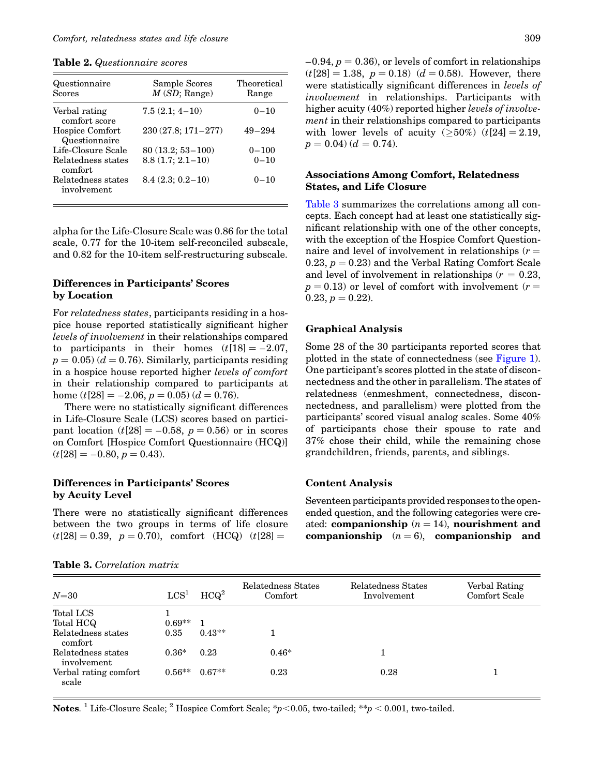<span id="page-4-0"></span>Table 2. Questionnaire scores

| Questionnaire<br><b>Scores</b>    | Sample Scores<br>M(SD; Range) | Theoretical<br>Range |
|-----------------------------------|-------------------------------|----------------------|
| Verbal rating<br>comfort score    | $7.5(2.1; 4-10)$              | $0 - 10$             |
| Hospice Comfort<br>Questionnaire  | $230(27.8; 171 - 277)$        | $49 - 294$           |
| Life-Closure Scale                | $80(13.2; 53-100)$            | $0 - 100$            |
| Relatedness states<br>comfort     | $8.8(1.7; 2.1-10)$            | $0 - 10$             |
| Relatedness states<br>involvement | $8.4(2.3; 0.2-10)$            | $0 - 10$             |

alpha for the Life-Closure Scale was 0.86 for the total scale, 0.77 for the 10-item self-reconciled subscale, and 0.82 for the 10-item self-restructuring subscale.

# Differences in Participants' Scores by Location

For relatedness states, participants residing in a hospice house reported statistically significant higher levels of involvement in their relationships compared to participants in their homes  $(t[18] = -2.07$ ,  $p = 0.05$ ) ( $d = 0.76$ ). Similarly, participants residing in a hospice house reported higher levels of comfort in their relationship compared to participants at home (t[28] = -2.06,  $p = 0.05$ ) ( $d = 0.76$ ).

There were no statistically significant differences in Life-Closure Scale (LCS) scores based on participant location  $(t[28] = -0.58, p = 0.56)$  or in scores on Comfort [Hospice Comfort Questionnaire (HCQ)]  $(t[28] = -0.80, p = 0.43).$ 

# Differences in Participants' Scores by Acuity Level

There were no statistically significant differences between the two groups in terms of life closure  $(t[28] = 0.39, p = 0.70),$  comfort  $(HCQ)$   $(t[28] =$ 

|  |  | <b>Table 3.</b> Correlation matrix |  |
|--|--|------------------------------------|--|
|--|--|------------------------------------|--|

 $-0.94, p = 0.36$ , or levels of comfort in relationships  $(t[28] = 1.38, p = 0.18)$   $(d = 0.58)$ . However, there were statistically significant differences in levels of involvement in relationships. Participants with higher acuity (40%) reported higher *levels of involve*ment in their relationships compared to participants with lower levels of acuity ( $\geq$ 50%) (t[24] = 2.19,  $p = 0.04$   $(d = 0.74)$ .

## Associations Among Comfort, Relatedness States, and Life Closure

Table 3 summarizes the correlations among all concepts. Each concept had at least one statistically significant relationship with one of the other concepts, with the exception of the Hospice Comfort Questionnaire and level of involvement in relationships  $(r =$ 0.23,  $p = 0.23$  and the Verbal Rating Comfort Scale and level of involvement in relationships  $(r = 0.23,$  $p = 0.13$ ) or level of comfort with involvement (r =  $0.23, p = 0.22$ .

## Graphical Analysis

Some 28 of the 30 participants reported scores that plotted in the state of connectedness (see [Figure 1\)](#page-2-0). One participant's scores plotted in the state of disconnectedness and the other in parallelism. The states of relatedness (enmeshment, connectedness, disconnectedness, and parallelism) were plotted from the participants' scored visual analog scales. Some 40% of participants chose their spouse to rate and 37% chose their child, while the remaining chose grandchildren, friends, parents, and siblings.

## Content Analysis

Seventeen participants provided responses to the openended question, and the following categories were created: companionship  $(n = 14)$ , nourishment and companionship  $(n = 6)$ , companionship and

| $N = 30$                          | LCS <sup>1</sup> | HCQ <sup>2</sup> | Relatedness States<br>Comfort | Relatedness States<br>Involvement | Verbal Rating<br>Comfort Scale |
|-----------------------------------|------------------|------------------|-------------------------------|-----------------------------------|--------------------------------|
| Total LCS                         |                  |                  |                               |                                   |                                |
| Total HCQ                         | $0.69**$         |                  |                               |                                   |                                |
| Relatedness states<br>comfort     | 0.35             | $0.43**$         |                               |                                   |                                |
| Relatedness states<br>involvement | $0.36*$          | 0.23             | $0.46*$                       |                                   |                                |
| Verbal rating comfort<br>scale    | $0.56**$         | $0.67**$         | 0.23                          | 0.28                              |                                |

Notes. <sup>1</sup> Life-Closure Scale; <sup>2</sup> Hospice Comfort Scale; \*p<0.05, two-tailed; \*\*p < 0.001, two-tailed.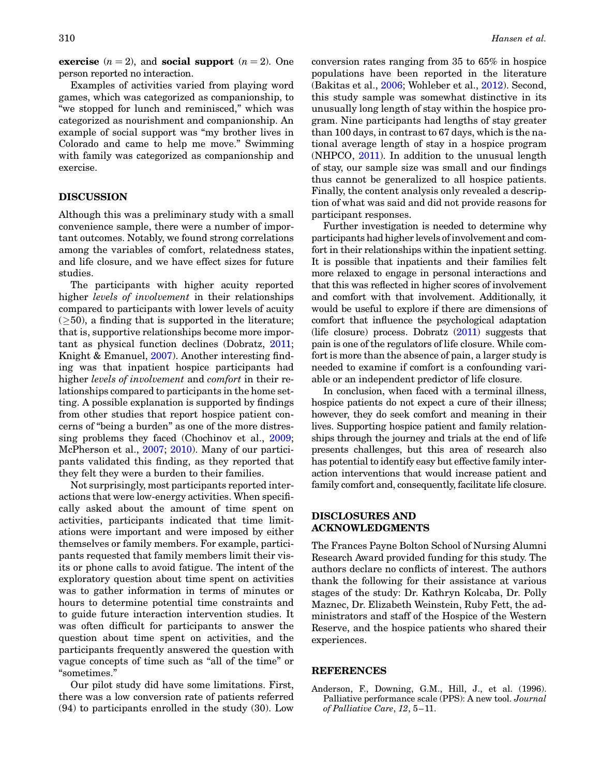<span id="page-5-0"></span>exercise  $(n = 2)$ , and social support  $(n = 2)$ . One person reported no interaction.

Examples of activities varied from playing word games, which was categorized as companionship, to "we stopped for lunch and reminisced," which was categorized as nourishment and companionship. An example of social support was "my brother lives in Colorado and came to help me move." Swimming with family was categorized as companionship and exercise.

## DISCUSSION

Although this was a preliminary study with a small convenience sample, there were a number of important outcomes. Notably, we found strong correlations among the variables of comfort, relatedness states, and life closure, and we have effect sizes for future studies.

The participants with higher acuity reported higher *levels of involvement* in their relationships compared to participants with lower levels of acuity  $(\geq 50)$ , a finding that is supported in the literature; that is, supportive relationships become more important as physical function declines (Dobratz, [2011](#page-6-0); Knight & Emanuel, [2007\)](#page-6-0). Another interesting finding was that inpatient hospice participants had higher *levels of involvement* and *comfort* in their relationships compared to participants in the home setting. A possible explanation is supported by findings from other studies that report hospice patient concerns of "being a burden" as one of the more distressing problems they faced (Chochinov et al., [2009](#page-6-0); McPherson et al., [2007;](#page-6-0) [2010\)](#page-6-0). Many of our participants validated this finding, as they reported that they felt they were a burden to their families.

Not surprisingly, most participants reported interactions that were low-energy activities. When specifically asked about the amount of time spent on activities, participants indicated that time limitations were important and were imposed by either themselves or family members. For example, participants requested that family members limit their visits or phone calls to avoid fatigue. The intent of the exploratory question about time spent on activities was to gather information in terms of minutes or hours to determine potential time constraints and to guide future interaction intervention studies. It was often difficult for participants to answer the question about time spent on activities, and the participants frequently answered the question with vague concepts of time such as "all of the time" or "sometimes."

Our pilot study did have some limitations. First, there was a low conversion rate of patients referred (94) to participants enrolled in the study (30). Low conversion rates ranging from 35 to 65% in hospice populations have been reported in the literature (Bakitas et al., [2006;](#page-6-0) Wohleber et al., [2012\)](#page-6-0). Second, this study sample was somewhat distinctive in its unusually long length of stay within the hospice program. Nine participants had lengths of stay greater than 100 days, in contrast to 67 days, which is the national average length of stay in a hospice program (NHPCO, [2011\)](#page-6-0). In addition to the unusual length of stay, our sample size was small and our findings thus cannot be generalized to all hospice patients. Finally, the content analysis only revealed a description of what was said and did not provide reasons for participant responses.

Further investigation is needed to determine why participants had higher levels of involvement and comfort in their relationships within the inpatient setting. It is possible that inpatients and their families felt more relaxed to engage in personal interactions and that this was reflected in higher scores of involvement and comfort with that involvement. Additionally, it would be useful to explore if there are dimensions of comfort that influence the psychological adaptation (life closure) process. Dobratz  $(2011)$  $(2011)$  suggests that pain is one of the regulators of life closure. While comfort is more than the absence of pain, a larger study is needed to examine if comfort is a confounding variable or an independent predictor of life closure.

In conclusion, when faced with a terminal illness, hospice patients do not expect a cure of their illness; however, they do seek comfort and meaning in their lives. Supporting hospice patient and family relationships through the journey and trials at the end of life presents challenges, but this area of research also has potential to identify easy but effective family interaction interventions that would increase patient and family comfort and, consequently, facilitate life closure.

# DISCLOSURES AND ACKNOWLEDGMENTS

The Frances Payne Bolton School of Nursing Alumni Research Award provided funding for this study. The authors declare no conflicts of interest. The authors thank the following for their assistance at various stages of the study: Dr. Kathryn Kolcaba, Dr. Polly Maznec, Dr. Elizabeth Weinstein, Ruby Fett, the administrators and staff of the Hospice of the Western Reserve, and the hospice patients who shared their experiences.

#### REFERENCES

Anderson, F., Downing, G.M., Hill, J., et al. (1996). Palliative performance scale (PPS): A new tool. Journal of Palliative Care, 12, 5–11.